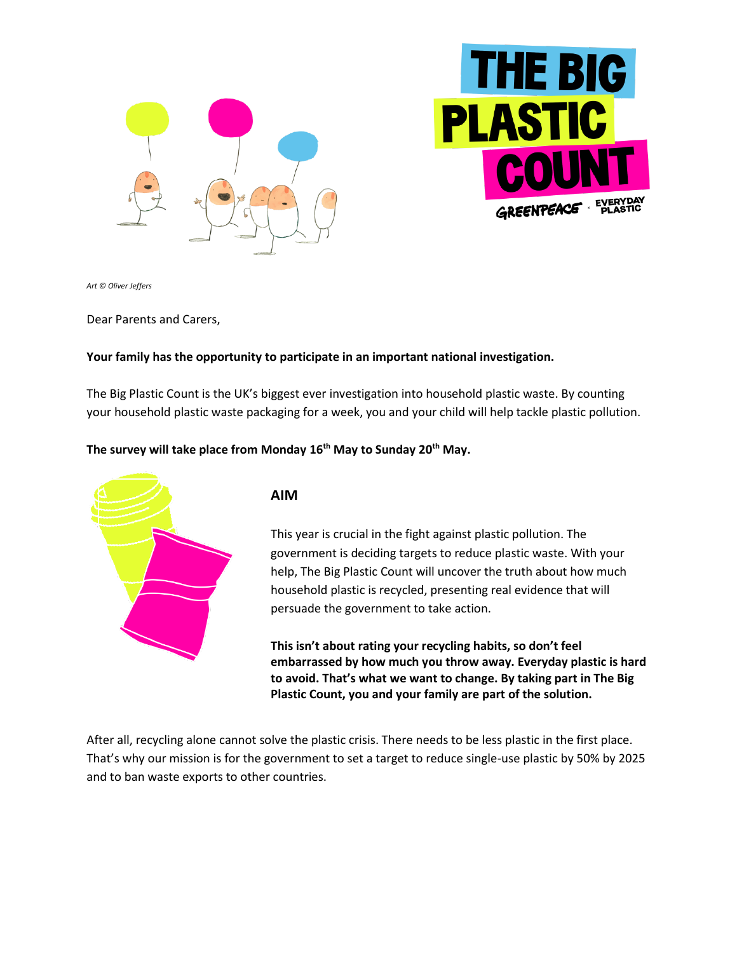



*Art © Oliver Jeffers*

Dear Parents and Carers,

### **Your family has the opportunity to participate in an important national investigation.**

The Big Plastic Count is the UK's biggest ever investigation into household plastic waste. By counting your household plastic waste packaging for a week, you and your child will help tackle plastic pollution.

#### **The survey will take place from Monday 16th May to Sunday 20th May.**



## **AIM**

This year is crucial in the fight against plastic pollution. The government is deciding targets to reduce plastic waste. With your help, The Big Plastic Count will uncover the truth about how much household plastic is recycled, presenting real evidence that will persuade the government to take action.

**This isn't about rating your recycling habits, so don't feel embarrassed by how much you throw away. Everyday plastic is hard to avoid. That's what we want to change. By taking part in The Big Plastic Count, you and your family are part of the solution.**

After all, recycling alone cannot solve the plastic crisis. There needs to be less plastic in the first place. That's why our mission is for the government to set a target to reduce single-use plastic by 50% by 2025 and to ban waste exports to other countries.